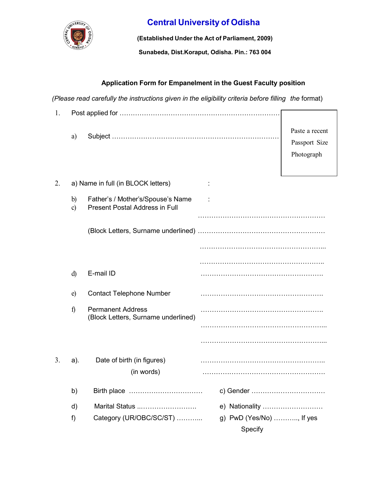

## Central University of Odisha

(Established Under the Act of Parliament, 2009)

Sunabeda, Dist.Koraput, Odisha. Pin.: 763 004

## Application Form for Empanelment in the Guest Faculty position

(Please read carefully the instructions given in the eligibility criteria before filling the format)

| 1. |                               |                                                                            |                          |                                               |
|----|-------------------------------|----------------------------------------------------------------------------|--------------------------|-----------------------------------------------|
|    | a)                            |                                                                            |                          | Paste a recent<br>Passport Size<br>Photograph |
| 2. |                               | a) Name in full (in BLOCK letters)                                         |                          |                                               |
|    | $\mathbf{b}$<br>$\mathbf{c})$ | Father's / Mother's/Spouse's Name<br><b>Present Postal Address in Full</b> |                          |                                               |
|    |                               |                                                                            |                          |                                               |
|    |                               |                                                                            |                          |                                               |
|    |                               |                                                                            |                          |                                               |
|    |                               |                                                                            |                          |                                               |
|    | d)                            | E-mail ID                                                                  |                          |                                               |
|    | e)                            | <b>Contact Telephone Number</b>                                            |                          |                                               |
|    | $\hat{I}$                     | <b>Permanent Address</b><br>(Block Letters, Surname underlined)            |                          |                                               |
|    |                               |                                                                            |                          |                                               |
|    |                               |                                                                            |                          |                                               |
| 3. | a).                           | Date of birth (in figures)<br>(in words)                                   |                          |                                               |
|    | b)                            | Birth place                                                                | c) Gender                |                                               |
|    | d)                            | Marital Status                                                             | e) Nationality           |                                               |
|    | f)                            | Category (UR/OBC/SC/ST)                                                    | g) PwD (Yes/No) , If yes |                                               |
|    |                               |                                                                            | Specify                  |                                               |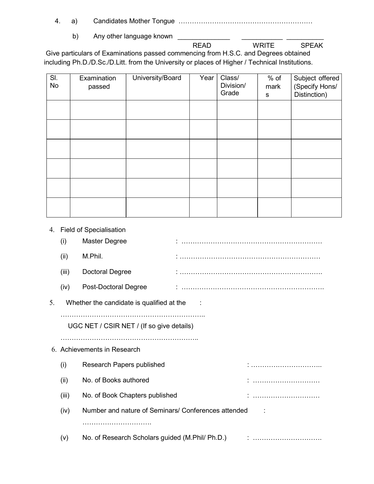- 4. a) Candidates Mother Tongue ……………………………………………………
	- b) Any other language known

READ WRITE SPEAK

 Give particulars of Examinations passed commencing from H.S.C. and Degrees obtained including Ph.D./D.Sc./D.Litt. from the University or places of Higher / Technical Institutions.

| SI.<br>No | Examination<br>passed | University/Board | Year | Class/<br>Division/<br>Grade | $%$ of<br>mark<br>s | Subject offered<br>(Specify Hons/<br>Distinction) |
|-----------|-----------------------|------------------|------|------------------------------|---------------------|---------------------------------------------------|
|           |                       |                  |      |                              |                     |                                                   |
|           |                       |                  |      |                              |                     |                                                   |
|           |                       |                  |      |                              |                     |                                                   |
|           |                       |                  |      |                              |                     |                                                   |
|           |                       |                  |      |                              |                     |                                                   |
|           |                       |                  |      |                              |                     |                                                   |

4. Field of Specialisation

|    | (i)                                                         | <b>Master Degree</b>                            |  |   |  |  |
|----|-------------------------------------------------------------|-------------------------------------------------|--|---|--|--|
|    | (ii)                                                        | M.Phil.                                         |  |   |  |  |
|    | (iii)                                                       | <b>Doctoral Degree</b>                          |  |   |  |  |
|    | (iv)                                                        | Post-Doctoral Degree                            |  |   |  |  |
| 5. | Whether the candidate is qualified at the                   |                                                 |  |   |  |  |
|    |                                                             | UGC NET / CSIR NET / (If so give details)       |  |   |  |  |
|    | 6. Achievements in Research                                 |                                                 |  |   |  |  |
|    | (i)                                                         | Research Papers published                       |  |   |  |  |
|    | (ii)                                                        | No. of Books authored                           |  |   |  |  |
|    | (iii)                                                       | No. of Book Chapters published                  |  |   |  |  |
|    | Number and nature of Seminars/ Conferences attended<br>(iv) |                                                 |  |   |  |  |
|    |                                                             |                                                 |  |   |  |  |
|    | (v)                                                         | No. of Research Scholars guided (M.Phil/ Ph.D.) |  | : |  |  |